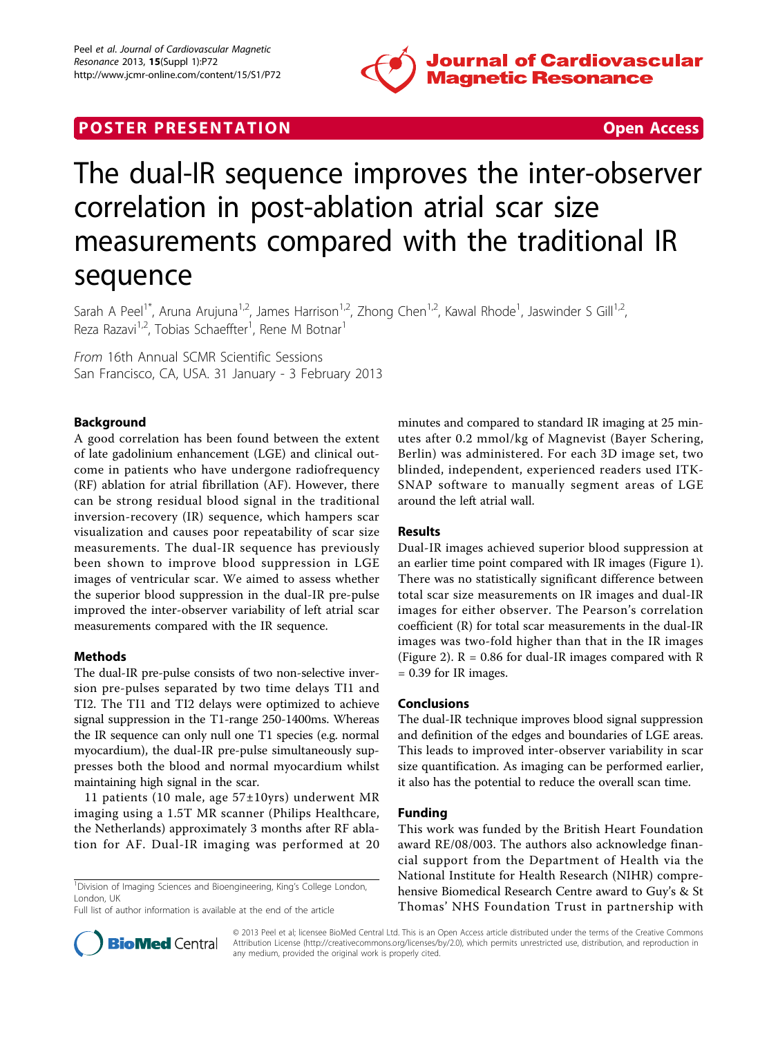

# **POSTER PRESENTATION CONSUMING THE SECOND CONSUMING THE SECOND CONSUMING THE SECOND CONSUMING THE SECOND CONSUMING THE SECOND CONSUMING THE SECOND CONSUMING THE SECOND CONSUMING THE SECOND CONSUMING THE SECOND CONSUMING**



# The dual-IR sequence improves the inter-observer correlation in post-ablation atrial scar size measurements compared with the traditional IR sequence

Sarah A Peel<sup>1\*</sup>, Aruna Arujuna<sup>1,2</sup>, James Harrison<sup>1,2</sup>, Zhong Chen<sup>1,2</sup>, Kawal Rhode<sup>1</sup>, Jaswinder S Gill<sup>1,2</sup>, Reza Razavi<sup>1,2</sup>, Tobias Schaeffter<sup>1</sup>, Rene M Botnar<sup>1</sup>

From 16th Annual SCMR Scientific Sessions San Francisco, CA, USA. 31 January - 3 February 2013

## Background

A good correlation has been found between the extent of late gadolinium enhancement (LGE) and clinical outcome in patients who have undergone radiofrequency (RF) ablation for atrial fibrillation (AF). However, there can be strong residual blood signal in the traditional inversion-recovery (IR) sequence, which hampers scar visualization and causes poor repeatability of scar size measurements. The dual-IR sequence has previously been shown to improve blood suppression in LGE images of ventricular scar. We aimed to assess whether the superior blood suppression in the dual-IR pre-pulse improved the inter-observer variability of left atrial scar measurements compared with the IR sequence.

### Methods

The dual-IR pre-pulse consists of two non-selective inversion pre-pulses separated by two time delays TI1 and TI2. The TI1 and TI2 delays were optimized to achieve signal suppression in the T1-range 250-1400ms. Whereas the IR sequence can only null one T1 species (e.g. normal myocardium), the dual-IR pre-pulse simultaneously suppresses both the blood and normal myocardium whilst maintaining high signal in the scar.

11 patients (10 male, age 57±10yrs) underwent MR imaging using a 1.5T MR scanner (Philips Healthcare, the Netherlands) approximately 3 months after RF ablation for AF. Dual-IR imaging was performed at 20

<sup>1</sup>Division of Imaging Sciences and Bioengineering, King's College London, London, UK

Full list of author information is available at the end of the article



#### Results

Dual-IR images achieved superior blood suppression at an earlier time point compared with IR images (Figure [1](#page-1-0)). There was no statistically significant difference between total scar size measurements on IR images and dual-IR images for either observer. The Pearson's correlation coefficient (R) for total scar measurements in the dual-IR images was two-fold higher than that in the IR images (Figure [2](#page-1-0)).  $R = 0.86$  for dual-IR images compared with R  $= 0.39$  for IR images.

#### Conclusions

The dual-IR technique improves blood signal suppression and definition of the edges and boundaries of LGE areas. This leads to improved inter-observer variability in scar size quantification. As imaging can be performed earlier, it also has the potential to reduce the overall scan time.

### Funding

This work was funded by the British Heart Foundation award RE/08/003. The authors also acknowledge financial support from the Department of Health via the National Institute for Health Research (NIHR) comprehensive Biomedical Research Centre award to Guy's & St Thomas' NHS Foundation Trust in partnership with



© 2013 Peel et al; licensee BioMed Central Ltd. This is an Open Access article distributed under the terms of the Creative Commons Attribution License [\(http://creativecommons.org/licenses/by/2.0](http://creativecommons.org/licenses/by/2.0)), which permits unrestricted use, distribution, and reproduction in any medium, provided the original work is properly cited.